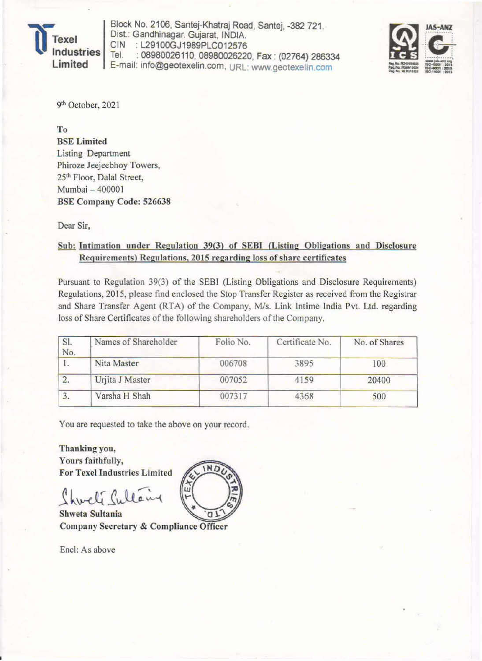

Block No. 2106, Santej-Khatraj Road, Santej, -382 721. Dist.: Gandhinagar. Gujarat, INDIA.<br>CIN : L29100GJ1989PLC012576 CIN : L29100GJ1989PLC012576<br>Tel. : 08980026110\_08980026220 : 08980026110, 08980026220, Fax : (02764) 286334 E-mail: info@geotexelin.com, URL: www.geotexelin.com



•

9<sup>th</sup> October, 2021

To BSE Limited Listing Department Phiroze Jeejeebhoy Towers, 25<sup>th</sup> Floor, Dalal Street, Mumbai - 400001 BSE Company Code: 526638

Dear Sir,

## Sub: Intimation under Regulation 39(3) of SEBI (Listing Obligations and Disclosure Requirements) Regulations, 2015 regarding loss of share certificates

Pursuant to Regulation 39(3) of the SEBI (Listing Obligations and Disclosure Requirements) Regulations, 2015, please find enclosed the Stop Transfer Register as received from the Registrar and Share Transfer Agent (RTA) of the Company, *Mis.* Link Intime India Pvt. Ltd. regarding loss of Share Certificates of the following shareholders of the Company.

| Names of Shareholder | Folio No. | Certificate No. | No. of Shares |  |
|----------------------|-----------|-----------------|---------------|--|
| Nita Master          | 006708    | 3895            | 100<br>20400  |  |
| Urjita J Master      | 007052    | 4159            |               |  |
| Varsha H Shah        | 007317    | 4368            | 500           |  |
|                      |           |                 |               |  |

You are requested to take the above on your record.

Thanking you, Yours faithfully. For Texcl Industries Limited

Shweta Sultania Company Secretary & Compliance Officer

Encl: As above